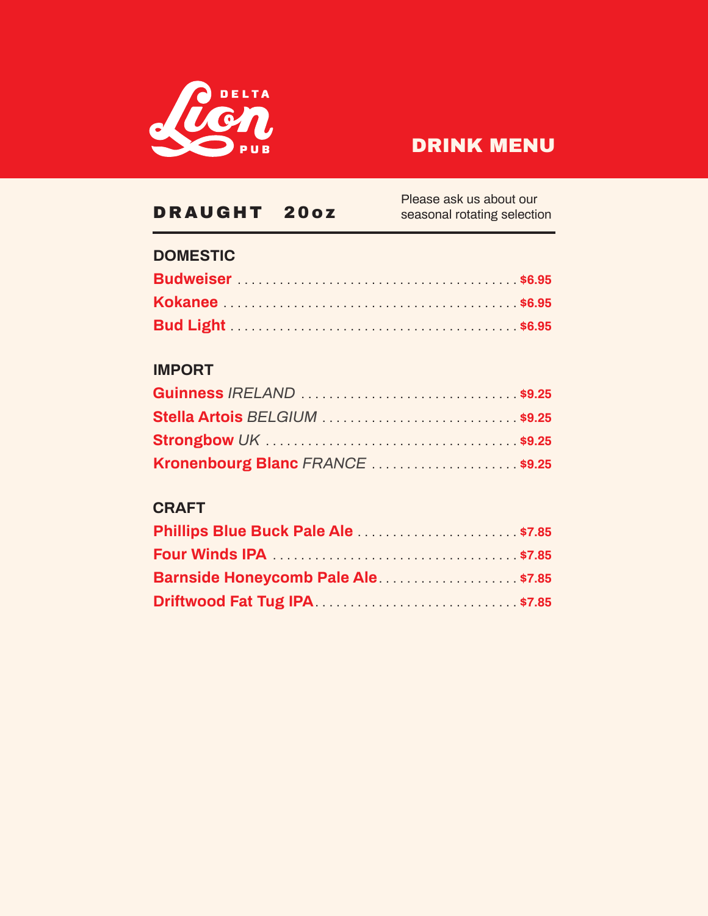

| DRAUGHT<br>20oz                     | Please ask us about our<br>seasonal rotating selection |
|-------------------------------------|--------------------------------------------------------|
| <b>DOMESTIC</b>                     |                                                        |
|                                     |                                                        |
|                                     |                                                        |
|                                     |                                                        |
| <b>IMPORT</b>                       |                                                        |
|                                     |                                                        |
| Stella Artois BELGIUM \$9.25        |                                                        |
|                                     |                                                        |
| Kronenbourg Blanc FRANCE \$9.25     |                                                        |
| <b>CRAFT</b>                        |                                                        |
| Phillips Blue Buck Pale Ale  \$7.85 |                                                        |
|                                     |                                                        |
| Barnside Honeycomb Pale Ale\$7.85   |                                                        |
|                                     |                                                        |
|                                     |                                                        |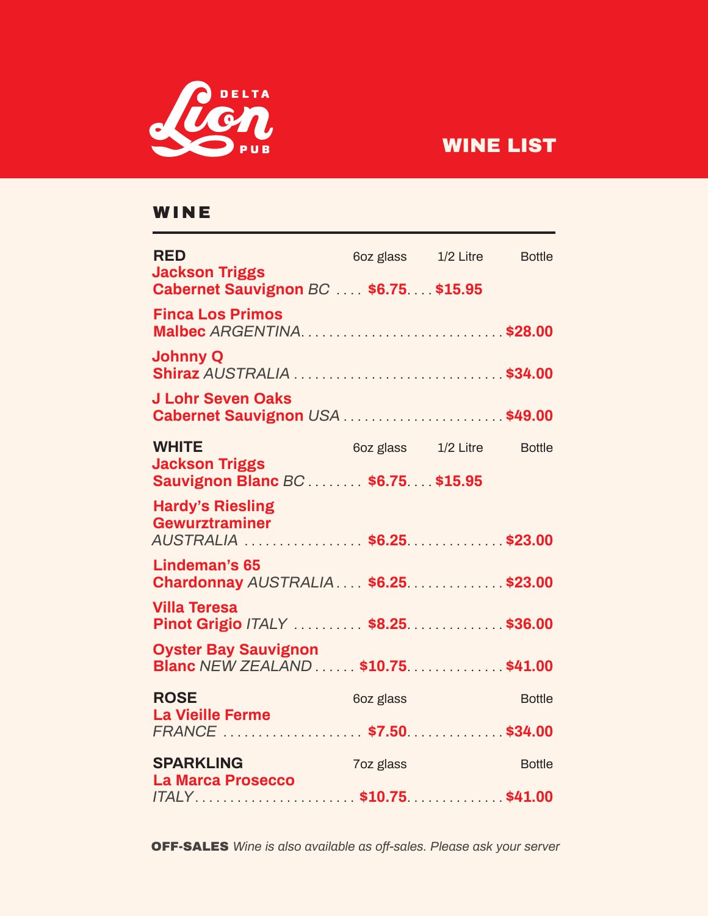

# WINE LIST

#### WINE

| <b>RED</b><br><b>Jackson Triggs</b>                                           |           | 6oz glass 1/2 Litre        | <b>Bottle</b> |
|-------------------------------------------------------------------------------|-----------|----------------------------|---------------|
| Cabernet Sauvignon BC  \$6.75 \$15.95                                         |           |                            |               |
| <b>Finca Los Primos</b><br>Malbec ARGENTINA \$28.00                           |           |                            |               |
| <b>Johnny Q</b>                                                               |           |                            |               |
| <b>J Lohr Seven Oaks</b><br>Cabernet Sauvignon USA  \$49.00                   |           |                            |               |
| <b>WHITE</b>                                                                  |           | 6oz glass 1/2 Litre Bottle |               |
| <b>Jackson Triggs</b><br>Sauvignon Blanc BC  \$6.75 \$15.95                   |           |                            |               |
| <b>Hardy's Riesling</b><br><b>Gewurztraminer</b><br>AUSTRALIA  \$6.25 \$23.00 |           |                            |               |
| <b>Lindeman's 65</b><br>Chardonnay AUSTRALIA  \$6.25  \$23.00                 |           |                            |               |
| <b>Villa Teresa</b><br>Pinot Grigio /TALY \$8.25\$36.00                       |           |                            |               |
| <b>Oyster Bay Sauvignon</b><br>Blanc NEW ZEALAND  \$10.75 \$41.00             |           |                            |               |
| <b>ROSE</b>                                                                   | 6oz glass |                            | <b>Bottle</b> |
| <b>La Vieille Ferme</b><br>FRANCE  \$7.50 \$34.00                             |           |                            |               |
| <b>SPARKLING</b>                                                              | 7oz glass |                            | <b>Bottle</b> |
| <b>La Marca Prosecco</b><br>ITALY\$10.75\$41.00                               |           |                            |               |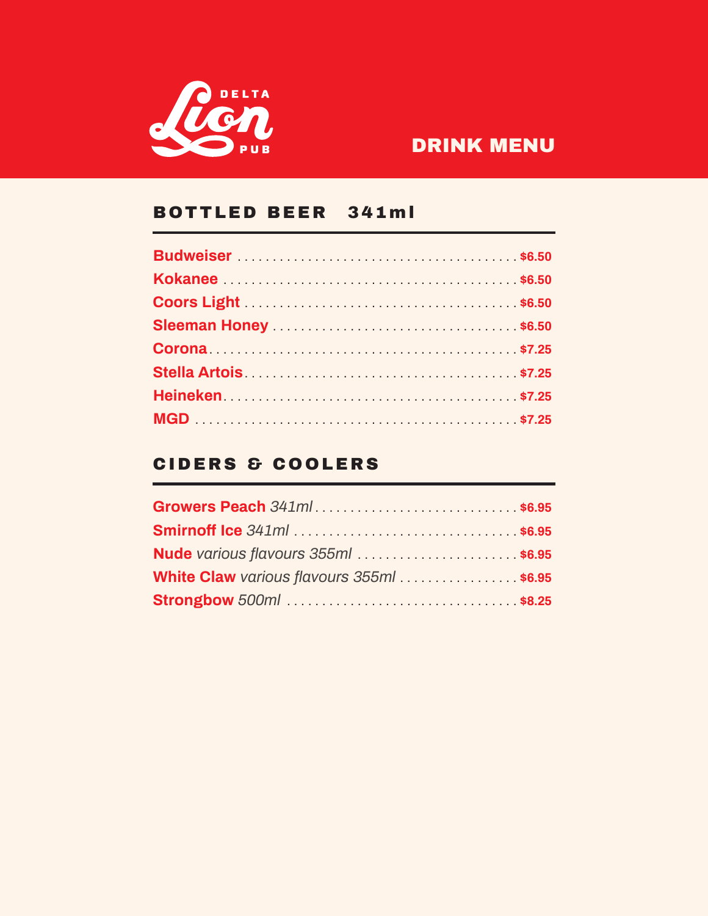

#### BOTTLED BEER 341ml

### CIDERS & COOLERS

| Growers Peach 341ml\$6.95               |  |
|-----------------------------------------|--|
|                                         |  |
| Nude various flavours 355ml  \$6.95     |  |
| White Claw various flavours 355ml\$6.95 |  |
|                                         |  |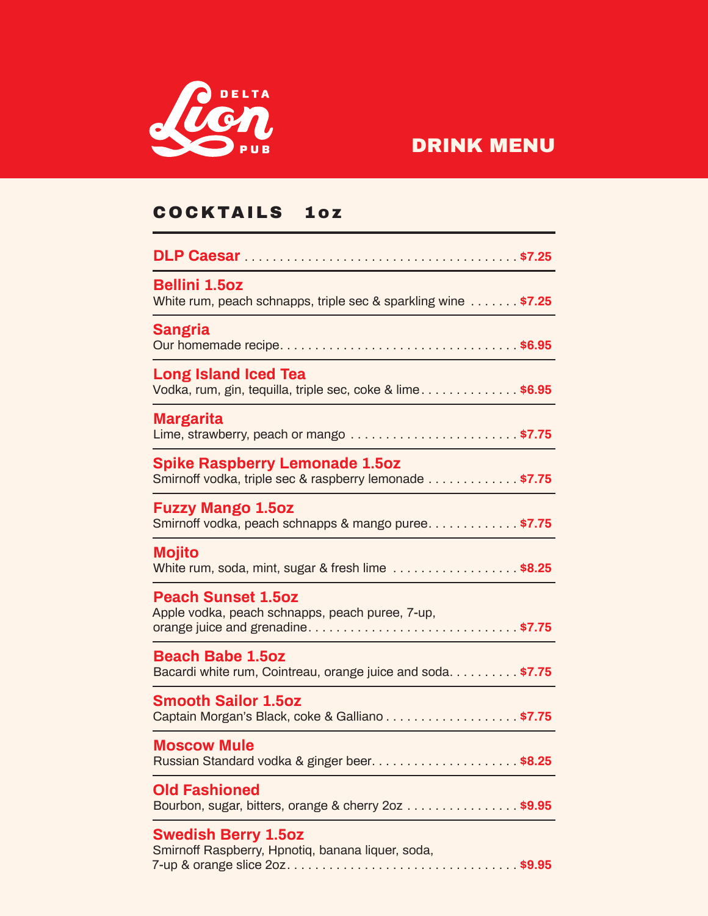

## COCKTAILS 1oz

| <b>Bellini 1.5oz</b><br>White rum, peach schnapps, triple sec & sparkling wine \$7.25            |
|--------------------------------------------------------------------------------------------------|
| <b>Sangria</b>                                                                                   |
| <b>Long Island Iced Tea</b><br>Vodka, rum, gin, tequilla, triple sec, coke & lime\$6.95          |
| <b>Margarita</b>                                                                                 |
| <b>Spike Raspberry Lemonade 1.5oz</b><br>Smirnoff vodka, triple sec & raspberry lemonade  \$7.75 |
| <b>Fuzzy Mango 1.5oz</b><br>Smirnoff vodka, peach schnapps & mango puree \$7.75                  |
| <b>Mojito</b><br>White rum, soda, mint, sugar & fresh lime \$8.25                                |
| <b>Peach Sunset 1.5oz</b><br>Apple vodka, peach schnapps, peach puree, 7-up,                     |
| <b>Beach Babe 1.5oz</b><br>Bacardi white rum, Cointreau, orange juice and soda. \$7.75           |
| <b>Smooth Sailor 1.5oz</b><br>Captain Morgan's Black, coke & Galliano \$7.75                     |
| <b>Moscow Mule</b>                                                                               |
| <b>Old Fashioned</b><br>Bourbon, sugar, bitters, orange & cherry 2oz \$9.95                      |
| <b>Swedish Berry 1.5oz</b><br>Smirnoff Raspberry, Hpnotiq, banana liquer, soda,                  |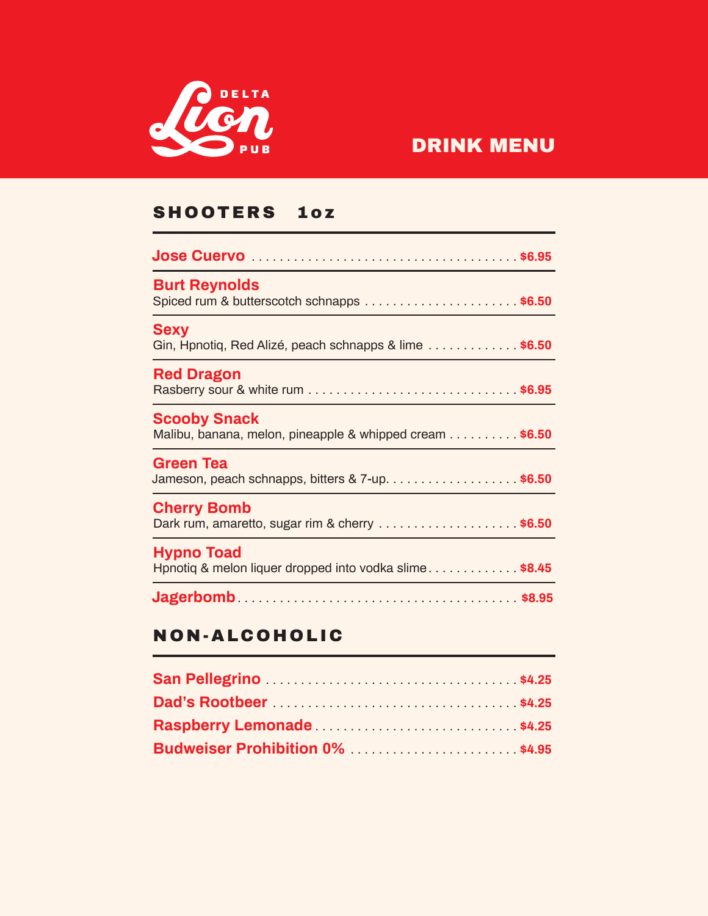

## SHOOTERS 1oz

| <b>Burt Reynolds</b><br>Spiced rum & butterscotch schnapps \$6.50                              |
|------------------------------------------------------------------------------------------------|
| <b>Sexy</b><br>Gin, Hpnotig, Red Alizé, peach schnapps & lime $\ldots \ldots \ldots$           |
| <b>Red Dragon</b>                                                                              |
| <b>Scooby Snack</b><br>Malibu, banana, melon, pineapple & whipped cream $\ldots \ldots$ \$6.50 |
| Green Tea<br>Jameson, peach schnapps, bitters $\& 7$ -up\$6.50                                 |
| <b>Cherry Bomb</b><br>Dark rum, amaretto, sugar rim & cherry \$6.50                            |
| <b>Hypno Toad</b><br>Honotiq & melon liquer dropped into vodka slime\$8.45                     |
|                                                                                                |

### NON-ALCOHOLIC

| Budweiser Prohibition 0% \$4.95 |  |  |
|---------------------------------|--|--|